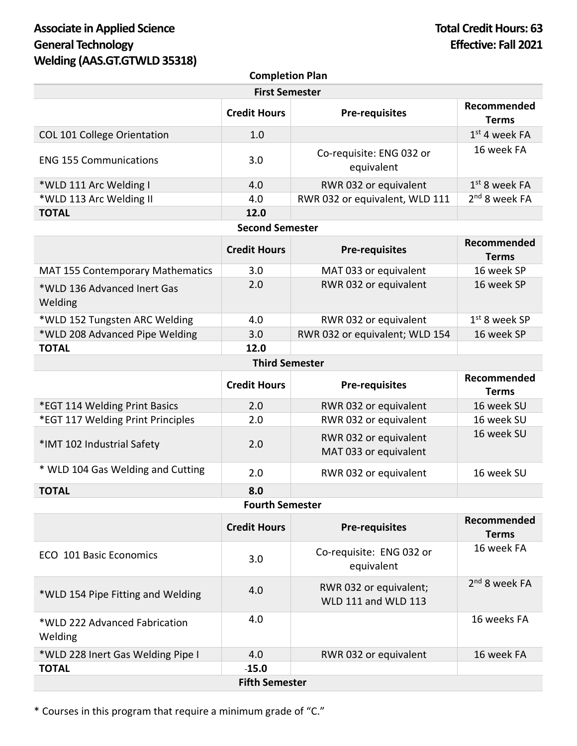# Associate in Applied Science **Total Credit Hours: 63 General Technology Effective: Fall 2021 Welding (AAS.GT.GTWLD 35318)**

| <b>Completion Plan</b>        |                     |                                        |                                |
|-------------------------------|---------------------|----------------------------------------|--------------------------------|
| <b>First Semester</b>         |                     |                                        |                                |
|                               | <b>Credit Hours</b> | <b>Pre-requisites</b>                  | Recommended<br>Terms           |
| COL 101 College Orientation   | 1.0                 |                                        | $1st$ 4 week FA                |
| <b>ENG 155 Communications</b> | 3.0                 | Co-requisite: ENG 032 or<br>equivalent | 16 week FA                     |
| *WLD 111 Arc Welding I        | 4.0                 | RWR 032 or equivalent                  | $1st$ 8 week FA                |
| *WLD 113 Arc Welding II       | 4.0                 | RWR 032 or equivalent, WLD 111         | $2nd$ 8 week FA                |
| <b>TOTAL</b>                  | 12.0                |                                        |                                |
| <b>Second Semester</b>        |                     |                                        |                                |
|                               |                     |                                        | $\mathbf{R}$ - - - - - - - - - |

|                                         | <b>Credit Hours</b> | <b>Pre-requisites</b>          | Recommended<br><b>Terms</b> |
|-----------------------------------------|---------------------|--------------------------------|-----------------------------|
| <b>MAT 155 Contemporary Mathematics</b> | 3.0                 | MAT 033 or equivalent          | 16 week SP                  |
| *WLD 136 Advanced Inert Gas<br>Welding  | 2.0                 | RWR 032 or equivalent          | 16 week SP                  |
| *WLD 152 Tungsten ARC Welding           | 4.0                 | RWR 032 or equivalent          | $1st$ 8 week SP             |
| *WLD 208 Advanced Pipe Welding          | 3.0                 | RWR 032 or equivalent; WLD 154 | 16 week SP                  |
| <b>TOTAL</b>                            | 12.0                |                                |                             |
| <b>Third Semester</b>                   |                     |                                |                             |

|                                   | <b>Credit Hours</b> | <b>Pre-requisites</b>                          | Recommended<br>Terms |
|-----------------------------------|---------------------|------------------------------------------------|----------------------|
| *EGT 114 Welding Print Basics     | 2.0                 | RWR 032 or equivalent                          | 16 week SU           |
| *EGT 117 Welding Print Principles | 2.0                 | RWR 032 or equivalent                          | 16 week SU           |
| *IMT 102 Industrial Safety        | 2.0                 | RWR 032 or equivalent<br>MAT 033 or equivalent | 16 week SU           |
| * WLD 104 Gas Welding and Cutting | 2.0                 | RWR 032 or equivalent                          | 16 week SU           |
| <b>TOTAL</b>                      | 8.0                 |                                                |                      |

#### **Fourth Semester**

|                                          | <b>Credit Hours</b> | <b>Pre-requisites</b>                                | Recommended<br><b>Terms</b> |
|------------------------------------------|---------------------|------------------------------------------------------|-----------------------------|
| ECO 101 Basic Economics                  | 3.0                 | Co-requisite: ENG 032 or<br>equivalent               | 16 week FA                  |
| *WLD 154 Pipe Fitting and Welding        | 4.0                 | RWR 032 or equivalent;<br><b>WLD 111 and WLD 113</b> | 2 <sup>nd</sup> 8 week FA   |
| *WLD 222 Advanced Fabrication<br>Welding | 4.0                 |                                                      | 16 weeks FA                 |
| *WLD 228 Inert Gas Welding Pipe I        | 4.0                 | RWR 032 or equivalent                                | 16 week FA                  |
| <b>TOTAL</b>                             | $-15.0$             |                                                      |                             |
| <b>Fifth Semester</b>                    |                     |                                                      |                             |

\* Courses in this program that require a minimum grade of "C."